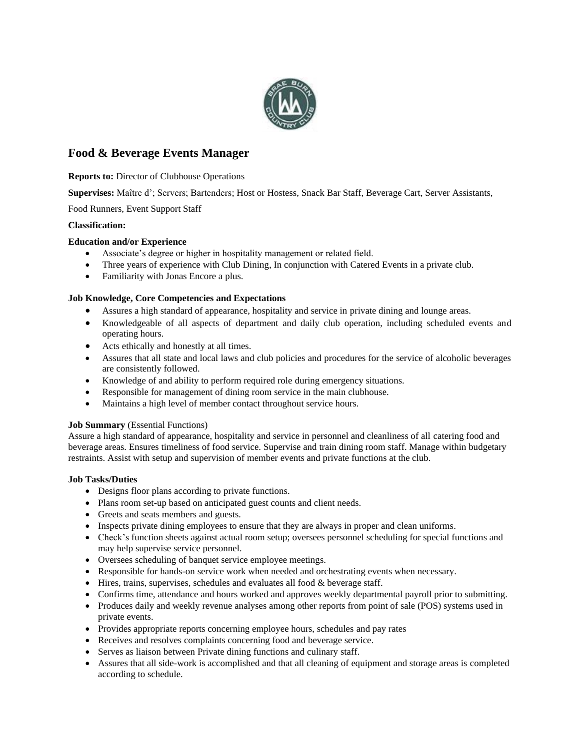

# **Food & Beverage Events Manager**

**Reports to:** Director of Clubhouse Operations

**Supervises:** Maître d'; Servers; Bartenders; Host or Hostess, Snack Bar Staff, Beverage Cart, Server Assistants,

Food Runners, Event Support Staff

#### **Classification:**

## **Education and/or Experience**

- Associate's degree or higher in hospitality management or related field.
- Three years of experience with Club Dining, In conjunction with Catered Events in a private club.
- Familiarity with Jonas Encore a plus.

## **Job Knowledge, Core Competencies and Expectations**

- Assures a high standard of appearance, hospitality and service in private dining and lounge areas.
- Knowledgeable of all aspects of department and daily club operation, including scheduled events and operating hours.
- Acts ethically and honestly at all times.
- Assures that all state and local laws and club policies and procedures for the service of alcoholic beverages are consistently followed.
- Knowledge of and ability to perform required role during emergency situations.
- Responsible for management of dining room service in the main clubhouse.
- Maintains a high level of member contact throughout service hours.

#### **Job Summary** (Essential Functions)

Assure a high standard of appearance, hospitality and service in personnel and cleanliness of all catering food and beverage areas. Ensures timeliness of food service. Supervise and train dining room staff. Manage within budgetary restraints. Assist with setup and supervision of member events and private functions at the club.

#### **Job Tasks/Duties**

- Designs floor plans according to private functions.
- Plans room set-up based on anticipated guest counts and client needs.
- Greets and seats members and guests.
- Inspects private dining employees to ensure that they are always in proper and clean uniforms.
- Check's function sheets against actual room setup; oversees personnel scheduling for special functions and may help supervise service personnel.
- Oversees scheduling of banquet service employee meetings.
- Responsible for hands-on service work when needed and orchestrating events when necessary.
- $\bullet$  Hires, trains, supervises, schedules and evaluates all food & beverage staff.
- Confirms time, attendance and hours worked and approves weekly departmental payroll prior to submitting.
- Produces daily and weekly revenue analyses among other reports from point of sale (POS) systems used in private events.
- Provides appropriate reports concerning employee hours, schedules and pay rates
- Receives and resolves complaints concerning food and beverage service.
- Serves as liaison between Private dining functions and culinary staff.
- Assures that all side-work is accomplished and that all cleaning of equipment and storage areas is completed according to schedule.